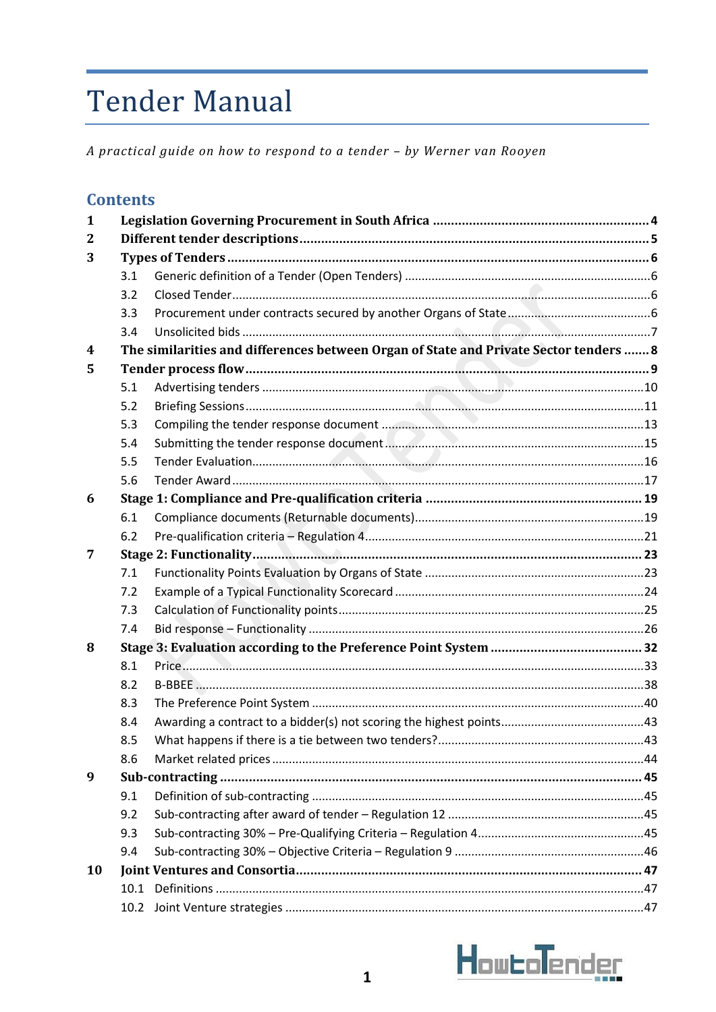# **Tender Manual**

A practical guide on how to respond to a tender - by Werner van Rooyen

| <b>Contents</b> |
|-----------------|
|-----------------|

| $\mathbf{1}$ |      |                                                                                       |  |  |  |
|--------------|------|---------------------------------------------------------------------------------------|--|--|--|
| 2            |      |                                                                                       |  |  |  |
| 3            |      |                                                                                       |  |  |  |
|              | 3.1  |                                                                                       |  |  |  |
|              | 3.2  |                                                                                       |  |  |  |
|              | 3.3  |                                                                                       |  |  |  |
|              | 3.4  |                                                                                       |  |  |  |
| 4            |      | The similarities and differences between Organ of State and Private Sector tenders  8 |  |  |  |
| 5            |      |                                                                                       |  |  |  |
|              | 5.1  |                                                                                       |  |  |  |
|              | 5.2  |                                                                                       |  |  |  |
|              | 5.3  |                                                                                       |  |  |  |
|              | 5.4  |                                                                                       |  |  |  |
|              | 5.5  |                                                                                       |  |  |  |
|              | 5.6  |                                                                                       |  |  |  |
| 6            |      |                                                                                       |  |  |  |
|              | 6.1  |                                                                                       |  |  |  |
|              | 6.2  |                                                                                       |  |  |  |
| 7            |      |                                                                                       |  |  |  |
|              | 7.1  |                                                                                       |  |  |  |
|              | 7.2  |                                                                                       |  |  |  |
|              | 7.3  |                                                                                       |  |  |  |
|              | 7.4  |                                                                                       |  |  |  |
| 8            |      |                                                                                       |  |  |  |
|              | 8.1  |                                                                                       |  |  |  |
|              | 8.2  |                                                                                       |  |  |  |
|              | 8.3  |                                                                                       |  |  |  |
|              | 8.4  |                                                                                       |  |  |  |
|              | 8.5  |                                                                                       |  |  |  |
|              | 8.6  |                                                                                       |  |  |  |
| 9            |      |                                                                                       |  |  |  |
|              | 9.1  |                                                                                       |  |  |  |
|              | 9.2  |                                                                                       |  |  |  |
|              | 9.3  |                                                                                       |  |  |  |
|              | 9.4  |                                                                                       |  |  |  |
| 10           |      |                                                                                       |  |  |  |
|              |      |                                                                                       |  |  |  |
|              | 10.2 |                                                                                       |  |  |  |

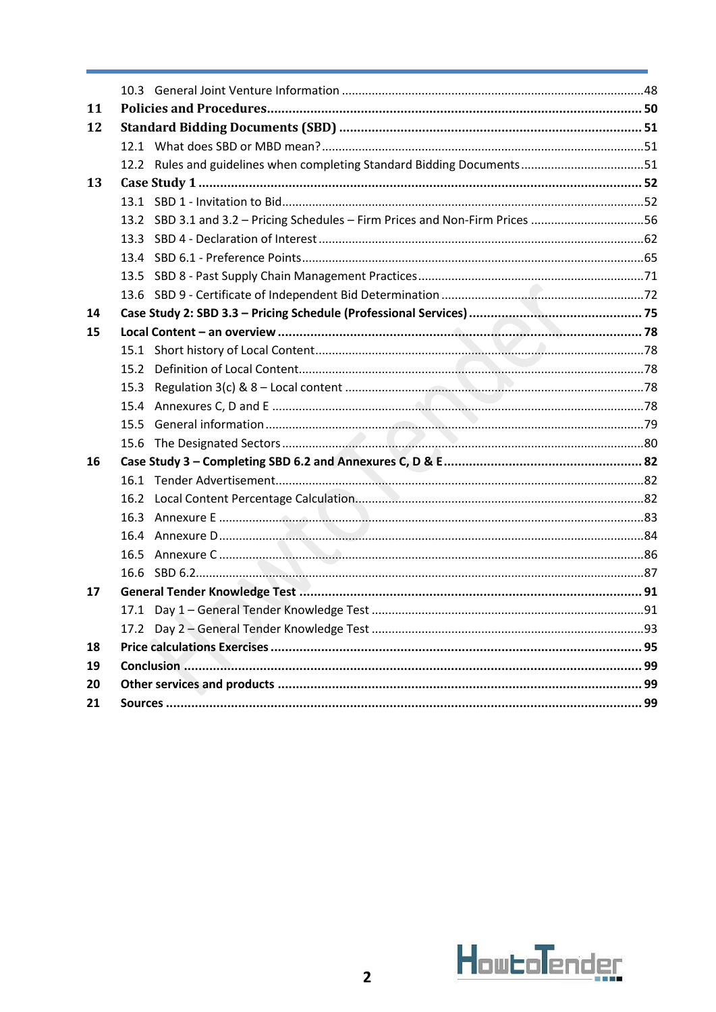| 11 |      |                                                                               |  |  |  |
|----|------|-------------------------------------------------------------------------------|--|--|--|
| 12 |      |                                                                               |  |  |  |
|    |      |                                                                               |  |  |  |
|    |      | 12.2 Rules and guidelines when completing Standard Bidding Documents51        |  |  |  |
| 13 |      |                                                                               |  |  |  |
|    |      |                                                                               |  |  |  |
|    |      | 13.2 SBD 3.1 and 3.2 - Pricing Schedules - Firm Prices and Non-Firm Prices 56 |  |  |  |
|    |      |                                                                               |  |  |  |
|    |      |                                                                               |  |  |  |
|    |      |                                                                               |  |  |  |
|    |      |                                                                               |  |  |  |
| 14 |      |                                                                               |  |  |  |
| 15 |      |                                                                               |  |  |  |
|    |      |                                                                               |  |  |  |
|    | 15.2 |                                                                               |  |  |  |
|    |      |                                                                               |  |  |  |
|    | 15.4 |                                                                               |  |  |  |
|    |      |                                                                               |  |  |  |
|    | 15.6 |                                                                               |  |  |  |
| 16 |      |                                                                               |  |  |  |
|    |      |                                                                               |  |  |  |
|    | 16.2 |                                                                               |  |  |  |
|    |      |                                                                               |  |  |  |
|    |      |                                                                               |  |  |  |
|    | 16.5 |                                                                               |  |  |  |
|    | 16.6 |                                                                               |  |  |  |
| 17 |      |                                                                               |  |  |  |
|    |      |                                                                               |  |  |  |
|    |      |                                                                               |  |  |  |
| 18 |      |                                                                               |  |  |  |
| 19 |      |                                                                               |  |  |  |
| 20 |      |                                                                               |  |  |  |
| 21 |      |                                                                               |  |  |  |